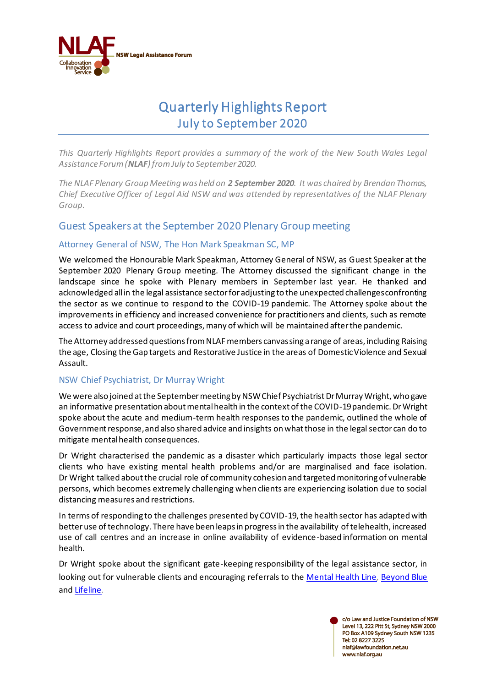

# Quarterly Highlights Report July to September 2020

*This Quarterly Highlights Report provides a summary of the work of the New South Wales Legal Assistance Forum (NLAF) from July to September 2020.* 

*The NLAF Plenary Group Meeting was held on 2 September 2020. It was chaired by Brendan Thomas, Chief Executive Officer of Legal Aid NSW and was attended by representatives of the NLAF Plenary Group.* 

### Guest Speakers at the September 2020 Plenary Group meeting

#### Attorney General of NSW, The Hon Mark Speakman SC, MP

We welcomed the Honourable Mark Speakman, Attorney General of NSW, as Guest Speaker at the September 2020 Plenary Group meeting. The Attorney discussed the significant change in the landscape since he spoke with Plenary members in September last year. He thanked and acknowledged all in the legal assistance sector for adjusting to the unexpected challenges confronting the sector as we continue to respond to the COVID-19 pandemic. The Attorney spoke about the improvements in efficiency and increased convenience for practitioners and clients, such as remote access to advice and court proceedings, many of which will be maintained after the pandemic.

The Attorney addressed questions from NLAF members canvassing a range of areas, including Raising the age, Closing the Gap targets and Restorative Justice in the areas of Domestic Violence and Sexual Assault.

#### NSW Chief Psychiatrist, Dr Murray Wright

We were also joined at the September meeting by NSW Chief Psychiatrist Dr Murray Wright, who gave an informative presentation about mental health in the context of the COVID-19 pandemic. DrWright spoke about the acute and medium-term health responses to the pandemic, outlined the whole of Government response, and also shared advice and insights on what those in the legal sector can do to mitigate mental health consequences.

Dr Wright characterised the pandemic as a disaster which particularly impacts those legal sector clients who have existing mental health problems and/or are marginalised and face isolation. Dr Wright talked about the crucial role of community cohesion and targeted monitoring of vulnerable persons, which becomes extremely challenging when clients are experiencing isolation due to social distancing measures and restrictions.

In terms of responding to the challenges presented by COVID-19, the health sector has adapted with better use of technology. There have been leaps in progress in the availability of telehealth, increased use of call centres and an increase in online availability of evidence-based information on mental health.

Dr Wright spoke about the significant gate-keeping responsibility of the legal assistance sector, in looking out for vulnerable clients and encouraging referrals to the [Mental Health Line](https://www.health.nsw.gov.au/mentalhealth/Pages/Mental-Health-Line.aspx)*,* [Beyond Blue](https://www.beyondblue.org.au/) and [Lifeline](https://www.lifeline.org.au/)*.*

> c/o Law and Justice Foundation of NSW Level 13, 222 Pitt St, Sydney NSW 2000 PO Box A109 Sydney South NSW 1235 Tel: 02 8227 3225 nlaf@lawfoundation.net.au www.nlaf.org.au